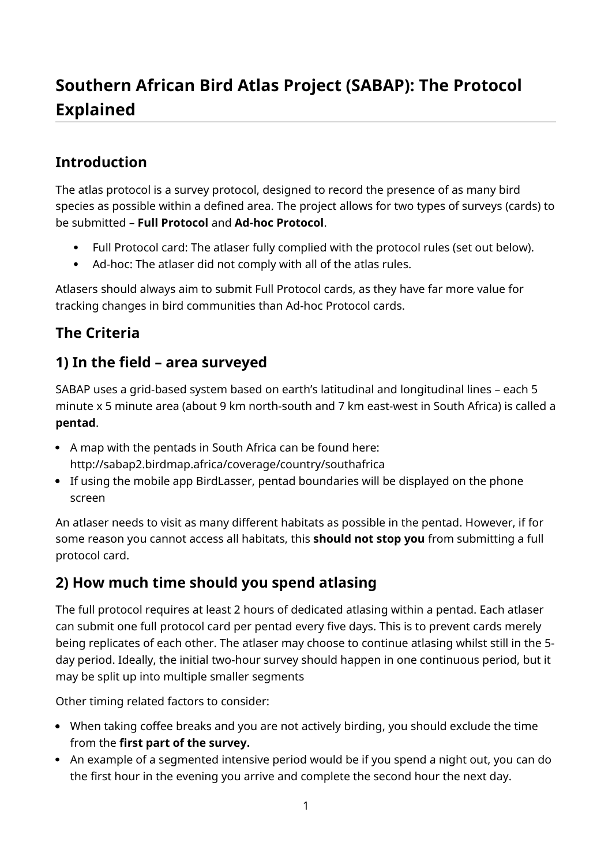# **Southern African Bird Atlas Project (SABAP): The Protocol Explained**

### **Introduction**

The atlas protocol is a survey protocol, designed to record the presence of as many bird species as possible within a defined area. The project allows for two types of surveys (cards) to be submitted – **Full Protocol** and **Ad-hoc Protocol**.

- Full Protocol card: The atlaser fully complied with the protocol rules (set out below).
- Ad-hoc: The atlaser did not comply with all of the atlas rules.

Atlasers should always aim to submit Full Protocol cards, as they have far more value for tracking changes in bird communities than Ad-hoc Protocol cards.

## **The Criteria**

#### **1) In the field – area surveyed**

SABAP uses a grid-based system based on earth's latitudinal and longitudinal lines – each 5 minute x 5 minute area (about 9 km north-south and 7 km east-west in South Africa) is called a **pentad**.

- A map with the pentads in South Africa can be found here: http://sabap2.birdmap.africa/coverage/country/southafrica
- If using the mobile app BirdLasser, pentad boundaries will be displayed on the phone screen

An atlaser needs to visit as many different habitats as possible in the pentad. However, if for some reason you cannot access all habitats, this **should not stop you** from submitting a full protocol card.

### **2) How much time should you spend atlasing**

The full protocol requires at least 2 hours of dedicated atlasing within a pentad. Each atlaser can submit one full protocol card per pentad every five days. This is to prevent cards merely being replicates of each other. The atlaser may choose to continue atlasing whilst still in the 5 day period. Ideally, the initial two-hour survey should happen in one continuous period, but it may be split up into multiple smaller segments

Other timing related factors to consider:

- When taking coffee breaks and you are not actively birding, you should exclude the time from the **first part of the survey.**
- An example of a segmented intensive period would be if you spend a night out, you can do the first hour in the evening you arrive and complete the second hour the next day.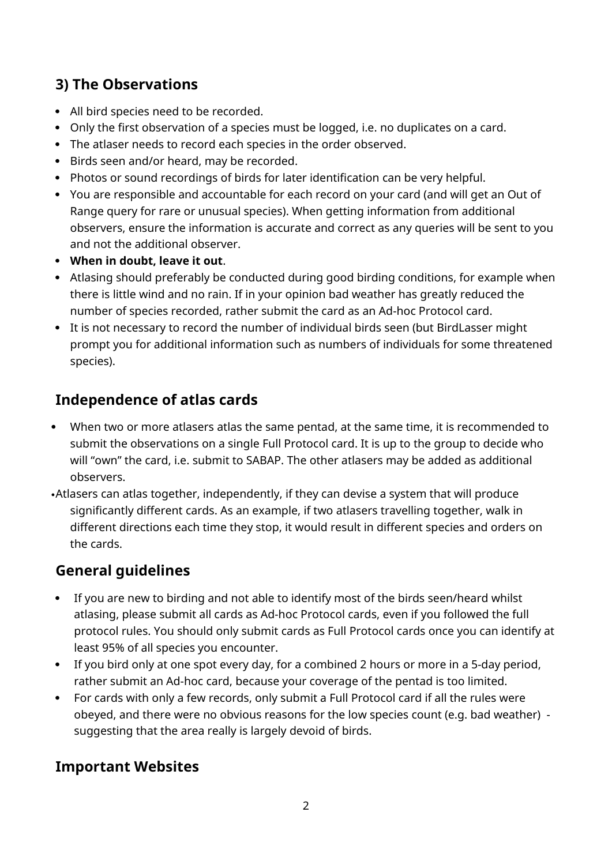### **3) The Observations**

- All bird species need to be recorded.
- Only the first observation of a species must be logged, i.e. no duplicates on a card.
- The atlaser needs to record each species in the order observed.
- Birds seen and/or heard, may be recorded.
- Photos or sound recordings of birds for later identification can be very helpful.
- You are responsible and accountable for each record on your card (and will get an Out of Range query for rare or unusual species). When getting information from additional observers, ensure the information is accurate and correct as any queries will be sent to you and not the additional observer.
- **When in doubt, leave it out**.
- Atlasing should preferably be conducted during good birding conditions, for example when there is little wind and no rain. If in your opinion bad weather has greatly reduced the number of species recorded, rather submit the card as an Ad-hoc Protocol card.
- It is not necessary to record the number of individual birds seen (but BirdLasser might prompt you for additional information such as numbers of individuals for some threatened species).

#### **Independence of atlas cards**

- When two or more atlasers atlas the same pentad, at the same time, it is recommended to submit the observations on a single Full Protocol card. It is up to the group to decide who will "own" the card, i.e. submit to SABAP. The other atlasers may be added as additional observers.
- Atlasers can atlas together, independently, if they can devise a system that will produce significantly different cards. As an example, if two atlasers travelling together, walk in different directions each time they stop, it would result in different species and orders on the cards.

#### **General guidelines**

- If you are new to birding and not able to identify most of the birds seen/heard whilst atlasing, please submit all cards as Ad-hoc Protocol cards, even if you followed the full protocol rules. You should only submit cards as Full Protocol cards once you can identify at least 95% of all species you encounter.
- If you bird only at one spot every day, for a combined 2 hours or more in a 5-day period, rather submit an Ad-hoc card, because your coverage of the pentad is too limited.
- For cards with only a few records, only submit a Full Protocol card if all the rules were obeyed, and there were no obvious reasons for the low species count (e.g. bad weather) suggesting that the area really is largely devoid of birds.

#### **Important Websites**